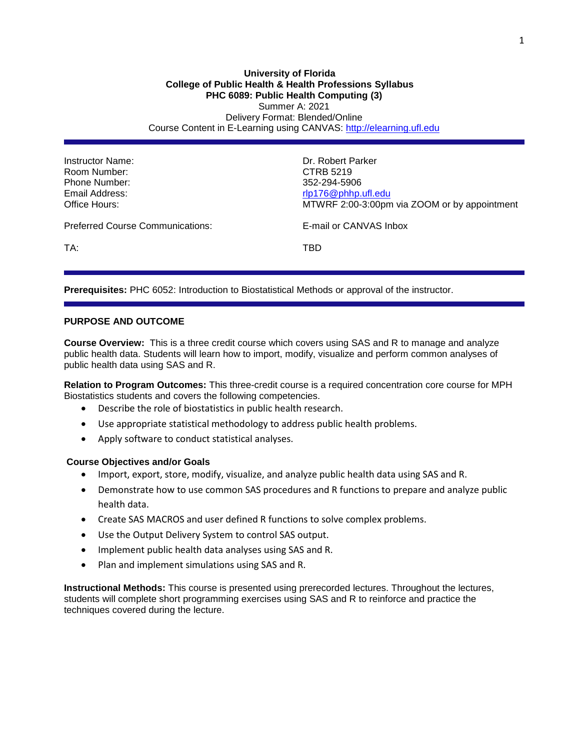### **University of Florida College of Public Health & Health Professions Syllabus PHC 6089: Public Health Computing (3)** Summer A: 2021 Delivery Format: Blended/Online Course Content in E-Learning using CANVAS: [http://elearning.ufl.edu](http://elearning.ufl.edu/)

| Instructor Name:<br>Room Number:<br>Phone Number:<br>Email Address:<br>Office Hours: | Dr. Robert Parker<br>CTRB 5219<br>352-294-5906<br>rlp176@phhp.ufl.edu<br>MTWRF 2:00-3:00pm via ZOOM or by appointment |
|--------------------------------------------------------------------------------------|-----------------------------------------------------------------------------------------------------------------------|
| Preferred Course Communications:                                                     | E-mail or CANVAS Inbox                                                                                                |
| TA:                                                                                  | TBD                                                                                                                   |

**Prerequisites:** PHC 6052: Introduction to Biostatistical Methods or approval of the instructor.

#### **PURPOSE AND OUTCOME**

**Course Overview:** This is a three credit course which covers using SAS and R to manage and analyze public health data. Students will learn how to import, modify, visualize and perform common analyses of public health data using SAS and R.

**Relation to Program Outcomes:** This three-credit course is a required concentration core course for MPH Biostatistics students and covers the following competencies.

- Describe the role of biostatistics in public health research.
- Use appropriate statistical methodology to address public health problems.
- Apply software to conduct statistical analyses.

#### **Course Objectives and/or Goals**

- Import, export, store, modify, visualize, and analyze public health data using SAS and R.
- Demonstrate how to use common SAS procedures and R functions to prepare and analyze public health data.
- Create SAS MACROS and user defined R functions to solve complex problems.
- Use the Output Delivery System to control SAS output.
- Implement public health data analyses using SAS and R.
- Plan and implement simulations using SAS and R.

**Instructional Methods:** This course is presented using prerecorded lectures. Throughout the lectures, students will complete short programming exercises using SAS and R to reinforce and practice the techniques covered during the lecture.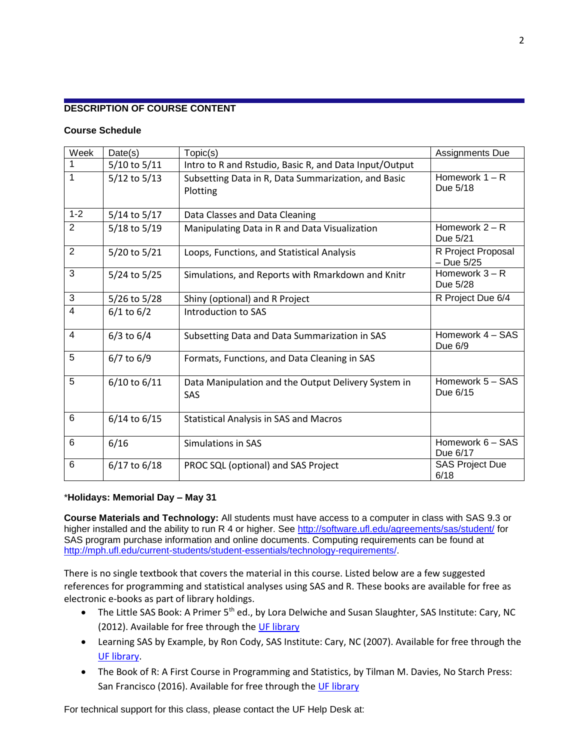# **DESCRIPTION OF COURSE CONTENT**

### **Course Schedule**

| Week           | Date(s)        | Topic(s)                                               | Assignments Due        |
|----------------|----------------|--------------------------------------------------------|------------------------|
| 1              | 5/10 to 5/11   | Intro to R and Rstudio, Basic R, and Data Input/Output |                        |
| 1              | 5/12 to 5/13   | Subsetting Data in R, Data Summarization, and Basic    | Homework $1 - R$       |
|                |                | Plotting                                               | Due 5/18               |
|                |                |                                                        |                        |
| $1 - 2$        | 5/14 to 5/17   | Data Classes and Data Cleaning                         |                        |
| $\overline{2}$ | 5/18 to 5/19   | Manipulating Data in R and Data Visualization          | Homework $2 - R$       |
|                |                |                                                        | Due 5/21               |
| $\overline{2}$ | 5/20 to 5/21   | Loops, Functions, and Statistical Analysis             | R Project Proposal     |
|                |                |                                                        | $-$ Due $5/25$         |
| 3              | 5/24 to 5/25   | Simulations, and Reports with Rmarkdown and Knitr      | Homework $3 - R$       |
|                |                |                                                        | Due 5/28               |
| 3              | 5/26 to 5/28   | Shiny (optional) and R Project                         | R Project Due 6/4      |
| 4              | $6/1$ to $6/2$ | Introduction to SAS                                    |                        |
|                |                |                                                        |                        |
| $\overline{4}$ | $6/3$ to $6/4$ | Subsetting Data and Data Summarization in SAS          | Homework 4 - SAS       |
|                |                |                                                        | Due 6/9                |
| 5              | $6/7$ to $6/9$ | Formats, Functions, and Data Cleaning in SAS           |                        |
|                |                |                                                        |                        |
| 5              | 6/10 to 6/11   | Data Manipulation and the Output Delivery System in    | Homework 5 - SAS       |
|                |                | <b>SAS</b>                                             | Due 6/15               |
|                |                |                                                        |                        |
| 6              | 6/14 to 6/15   | <b>Statistical Analysis in SAS and Macros</b>          |                        |
|                |                |                                                        |                        |
| 6              | 6/16           | Simulations in SAS                                     | Homework 6 - SAS       |
|                |                |                                                        | Due 6/17               |
| 6              | 6/17 to 6/18   | PROC SQL (optional) and SAS Project                    | <b>SAS Project Due</b> |
|                |                |                                                        | 6/18                   |

# \***Holidays: Memorial Day – May 31**

**Course Materials and Technology:** All students must have access to a computer in class with SAS 9.3 or higher installed and the ability to run R 4 or higher. See <http://software.ufl.edu/agreements/sas/student/> for SAS program purchase information and online documents. Computing requirements can be found at [http://mph.ufl.edu/current-students/student-essentials/technology-requirements/.](http://mph.ufl.edu/current-students/student-essentials/technology-requirements/)

There is no single textbook that covers the material in this course. Listed below are a few suggested references for programming and statistical analyses using SAS and R. These books are available for free as electronic e-books as part of library holdings.

- The Little SAS Book: A Primer 5<sup>th</sup> ed., by Lora Delwiche and Susan Slaughter, SAS Institute: Cary, NC (2012). Available for free through the [UF library](http://lp.hscl.ufl.edu/login?url=http://search.ebscohost.com/login.aspx?direct=true&AuthType=ip,uid&db=cat04364a&AN=ufl.032869376&site=eds-live)
- Learning SAS by Example, by Ron Cody, SAS Institute: Cary, NC (2007). Available for free through the [UF library.](http://lp.hscl.ufl.edu/login?url=http://search.ebscohost.com/login.aspx?direct=true&AuthType=ip,uid&db=cat04364a&AN=ufl.020202879&site=eds-live)
- The Book of R: A First Course in Programming and Statistics, by Tilman M. Davies, No Starch Press: San Francisco (2016). Available for free through th[e UF library](http://lp.hscl.ufl.edu/login?url=http://search.ebscohost.com/login.aspx?direct=true&AuthType=ip,uid&db=cat04364a&AN=ufl.035854968&site=eds-live)

For technical support for this class, please contact the UF Help Desk at: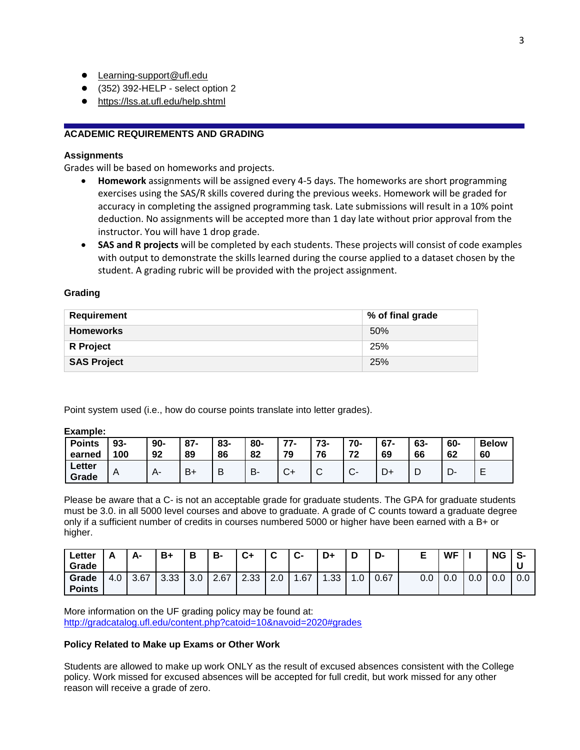- [Learning-support@ufl.edu](file:///C:/Users/hackg/Desktop/Learning-support@ufl.edu)
- (352) 392-HELP select option 2
- <https://lss.at.ufl.edu/help.shtml>

# **ACADEMIC REQUIREMENTS AND GRADING**

# **Assignments**

Grades will be based on homeworks and projects.

- **Homework** assignments will be assigned every 4-5 days. The homeworks are short programming exercises using the SAS/R skills covered during the previous weeks. Homework will be graded for accuracy in completing the assigned programming task. Late submissions will result in a 10% point deduction. No assignments will be accepted more than 1 day late without prior approval from the instructor. You will have 1 drop grade.
- **SAS and R projects** will be completed by each students. These projects will consist of code examples with output to demonstrate the skills learned during the course applied to a dataset chosen by the student. A grading rubric will be provided with the project assignment.

### **Grading**

| Requirement        | % of final grade |
|--------------------|------------------|
| <b>Homeworks</b>   | 50%              |
| <b>R</b> Project   | 25%              |
| <b>SAS Project</b> | 25%              |

Point system used (i.e., how do course points translate into letter grades).

#### **Example:**

| <b>Points</b><br>earned | 93-<br>100 | $90 -$<br>92 | $87 -$<br>89 | 83-<br>86 | 80-<br>82 | 77-<br>79 | 73-<br>76 | 70-<br>72              | $67 -$<br>69 | 63-<br>66 | 60-<br>62 | <b>Below</b><br>60 |
|-------------------------|------------|--------------|--------------|-----------|-----------|-----------|-----------|------------------------|--------------|-----------|-----------|--------------------|
|                         |            |              |              |           |           |           |           |                        |              |           |           |                    |
| Letter<br>Grade         | A          | $A-$         | $B+$         | В         | Β         | U"        | ັ         | $\sim$<br>$\mathbf{v}$ |              | ◡         | −<br>∙ש   | -                  |

Please be aware that a C- is not an acceptable grade for graduate students. The GPA for graduate students must be 3.0. in all 5000 level courses and above to graduate. A grade of C counts toward a graduate degree only if a sufficient number of credits in courses numbered 5000 or higher have been earned with a B+ or higher.

| Letter<br>Grade        | Δ   | А-   | B+   | В   | B-   | C+   | $\hat{\phantom{a}}$ | $\bullet$ | D+  | D    | D-   |     | <b>WF</b> |     | <b>NG</b> |     |
|------------------------|-----|------|------|-----|------|------|---------------------|-----------|-----|------|------|-----|-----------|-----|-----------|-----|
| Grade<br><b>Points</b> | 4.0 | 3.67 | 3.33 | 3.0 | 2.67 | 2.33 | 2.0                 | .67       | .33 | ں. ا | 0.67 | 0.0 | 0.0       | v.v | 0.0       | v.v |

More information on the UF grading policy may be found at: <http://gradcatalog.ufl.edu/content.php?catoid=10&navoid=2020#grades>

#### **Policy Related to Make up Exams or Other Work**

Students are allowed to make up work ONLY as the result of excused absences consistent with the College policy. Work missed for excused absences will be accepted for full credit, but work missed for any other reason will receive a grade of zero.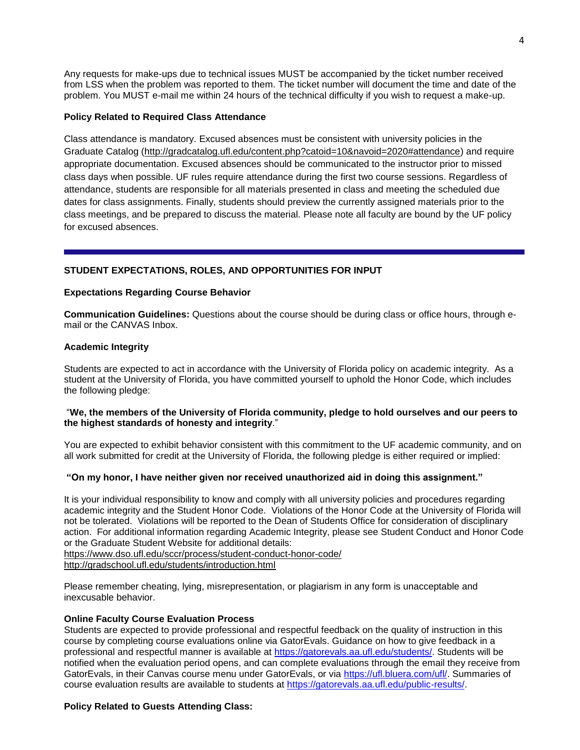Any requests for make-ups due to technical issues MUST be accompanied by the ticket number received from LSS when the problem was reported to them. The ticket number will document the time and date of the problem. You MUST e-mail me within 24 hours of the technical difficulty if you wish to request a make-up.

#### **Policy Related to Required Class Attendance**

Class attendance is mandatory. Excused absences must be consistent with university policies in the Graduate Catalog [\(http://gradcatalog.ufl.edu/content.php?catoid=10&navoid=2020#attendance\)](http://gradcatalog.ufl.edu/content.php?catoid=10&navoid=2020#attendance) and require appropriate documentation. Excused absences should be communicated to the instructor prior to missed class days when possible. UF rules require attendance during the first two course sessions. Regardless of attendance, students are responsible for all materials presented in class and meeting the scheduled due dates for class assignments. Finally, students should preview the currently assigned materials prior to the class meetings, and be prepared to discuss the material. Please note all faculty are bound by the UF policy for excused absences.

### **STUDENT EXPECTATIONS, ROLES, AND OPPORTUNITIES FOR INPUT**

#### **Expectations Regarding Course Behavior**

**Communication Guidelines:** Questions about the course should be during class or office hours, through email or the CANVAS Inbox.

#### **Academic Integrity**

Students are expected to act in accordance with the University of Florida policy on academic integrity. As a student at the University of Florida, you have committed yourself to uphold the Honor Code, which includes the following pledge:

#### "**We, the members of the University of Florida community, pledge to hold ourselves and our peers to the highest standards of honesty and integrity**."

You are expected to exhibit behavior consistent with this commitment to the UF academic community, and on all work submitted for credit at the University of Florida, the following pledge is either required or implied:

#### **"On my honor, I have neither given nor received unauthorized aid in doing this assignment."**

It is your individual responsibility to know and comply with all university policies and procedures regarding academic integrity and the Student Honor Code. Violations of the Honor Code at the University of Florida will not be tolerated. Violations will be reported to the Dean of Students Office for consideration of disciplinary action. For additional information regarding Academic Integrity, please see Student Conduct and Honor Code or the Graduate Student Website for additional details:

<https://www.dso.ufl.edu/sccr/process/student-conduct-honor-code/> <http://gradschool.ufl.edu/students/introduction.html>

Please remember cheating, lying, misrepresentation, or plagiarism in any form is unacceptable and inexcusable behavior.

### **Online Faculty Course Evaluation Process**

Students are expected to provide professional and respectful feedback on the quality of instruction in this course by completing course evaluations online via GatorEvals. Guidance on how to give feedback in a professional and respectful manner is available at [https://gatorevals.aa.ufl.edu/students/.](https://gatorevals.aa.ufl.edu/students/) Students will be notified when the evaluation period opens, and can complete evaluations through the email they receive from GatorEvals, in their Canvas course menu under GatorEvals, or via [https://ufl.bluera.com/ufl/.](https://urldefense.proofpoint.com/v2/url?u=https-3A__ufl.bluera.com_ufl_&d=DwMFAg&c=sJ6xIWYx-zLMB3EPkvcnVg&r=y2HjEMjRMHJhfdvLrqJZlYczRsfp5e4TfQjHuc5rVHg&m=WXko6OK_Ha6T00ZVAsEaSh99qRXHOgMNFRywCoehRho&s=itVU46DDJjnIg4CW6efJOOLgPjdzsPvCghyfzJoFONs&e=) Summaries of course evaluation results are available to students at [https://gatorevals.aa.ufl.edu/public-results/.](https://gatorevals.aa.ufl.edu/public-results/)

#### **Policy Related to Guests Attending Class:**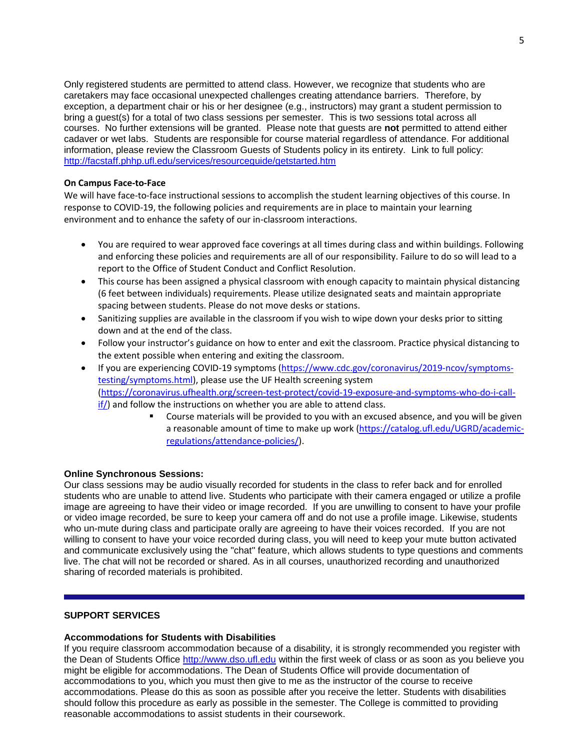Only registered students are permitted to attend class. However, we recognize that students who are caretakers may face occasional unexpected challenges creating attendance barriers. Therefore, by exception, a department chair or his or her designee (e.g., instructors) may grant a student permission to bring a guest(s) for a total of two class sessions per semester. This is two sessions total across all courses. No further extensions will be granted. Please note that guests are **not** permitted to attend either cadaver or wet labs. Students are responsible for course material regardless of attendance. For additional information, please review the Classroom Guests of Students policy in its entirety. Link to full policy: <http://facstaff.phhp.ufl.edu/services/resourceguide/getstarted.htm>

#### **On Campus Face-to-Face**

We will have face-to-face instructional sessions to accomplish the student learning objectives of this course. In response to COVID-19, the following policies and requirements are in place to maintain your learning environment and to enhance the safety of our in-classroom interactions.

- You are required to wear approved face coverings at all times during class and within buildings. Following and enforcing these policies and requirements are all of our responsibility. Failure to do so will lead to a report to the Office of Student Conduct and Conflict Resolution.
- This course has been assigned a physical classroom with enough capacity to maintain physical distancing (6 feet between individuals) requirements. Please utilize designated seats and maintain appropriate spacing between students. Please do not move desks or stations.
- Sanitizing supplies are available in the classroom if you wish to wipe down your desks prior to sitting down and at the end of the class.
- Follow your instructor's guidance on how to enter and exit the classroom. Practice physical distancing to the extent possible when entering and exiting the classroom.
- If you are experiencing COVID-19 symptoms [\(https://www.cdc.gov/coronavirus/2019-ncov/symptoms](https://urldefense.proofpoint.com/v2/url?u=https-3A__www.cdc.gov_coronavirus_2019-2Dncov_symptoms-2Dtesting_symptoms.html&d=DwMFaQ&c=sJ6xIWYx-zLMB3EPkvcnVg&r=2eqnalQIUE0hidnDPZGPPg&m=wMxzNN5yzS4aCabR9rleZtoPi63GZgYCd_AAluVIC6A&s=oJ4khddXMzhMscczQdr_FjKeCOf4o2x-Fy9V9TAfSIw&e=)[testing/symptoms.html\)](https://urldefense.proofpoint.com/v2/url?u=https-3A__www.cdc.gov_coronavirus_2019-2Dncov_symptoms-2Dtesting_symptoms.html&d=DwMFaQ&c=sJ6xIWYx-zLMB3EPkvcnVg&r=2eqnalQIUE0hidnDPZGPPg&m=wMxzNN5yzS4aCabR9rleZtoPi63GZgYCd_AAluVIC6A&s=oJ4khddXMzhMscczQdr_FjKeCOf4o2x-Fy9V9TAfSIw&e=), please use the UF Health screening system [\(https://coronavirus.ufhealth.org/screen-test-protect/covid-19-exposure-and-symptoms-who-do-i-call](https://coronavirus.ufhealth.org/screen-test-protect/covid-19-exposure-and-symptoms-who-do-i-call-if/)[if/\)](https://coronavirus.ufhealth.org/screen-test-protect/covid-19-exposure-and-symptoms-who-do-i-call-if/) and follow the instructions on whether you are able to attend class.
	- **EXP** Course materials will be provided to you with an excused absence, and you will be given a reasonable amount of time to make up work [\(https://catalog.ufl.edu/UGRD/academic](https://catalog.ufl.edu/UGRD/academic-regulations/attendance-policies/)[regulations/attendance-policies/\)](https://catalog.ufl.edu/UGRD/academic-regulations/attendance-policies/).

#### **Online Synchronous Sessions:**

Our class sessions may be audio visually recorded for students in the class to refer back and for enrolled students who are unable to attend live. Students who participate with their camera engaged or utilize a profile image are agreeing to have their video or image recorded. If you are unwilling to consent to have your profile or video image recorded, be sure to keep your camera off and do not use a profile image. Likewise, students who un-mute during class and participate orally are agreeing to have their voices recorded. If you are not willing to consent to have your voice recorded during class, you will need to keep your mute button activated and communicate exclusively using the "chat" feature, which allows students to type questions and comments live. The chat will not be recorded or shared. As in all courses, unauthorized recording and unauthorized sharing of recorded materials is prohibited.

### **SUPPORT SERVICES**

#### **Accommodations for Students with Disabilities**

If you require classroom accommodation because of a disability, it is strongly recommended you register with the Dean of Students Office [http://www.dso.ufl.edu](http://www.dso.ufl.edu/) within the first week of class or as soon as you believe you might be eligible for accommodations. The Dean of Students Office will provide documentation of accommodations to you, which you must then give to me as the instructor of the course to receive accommodations. Please do this as soon as possible after you receive the letter. Students with disabilities should follow this procedure as early as possible in the semester. The College is committed to providing reasonable accommodations to assist students in their coursework.